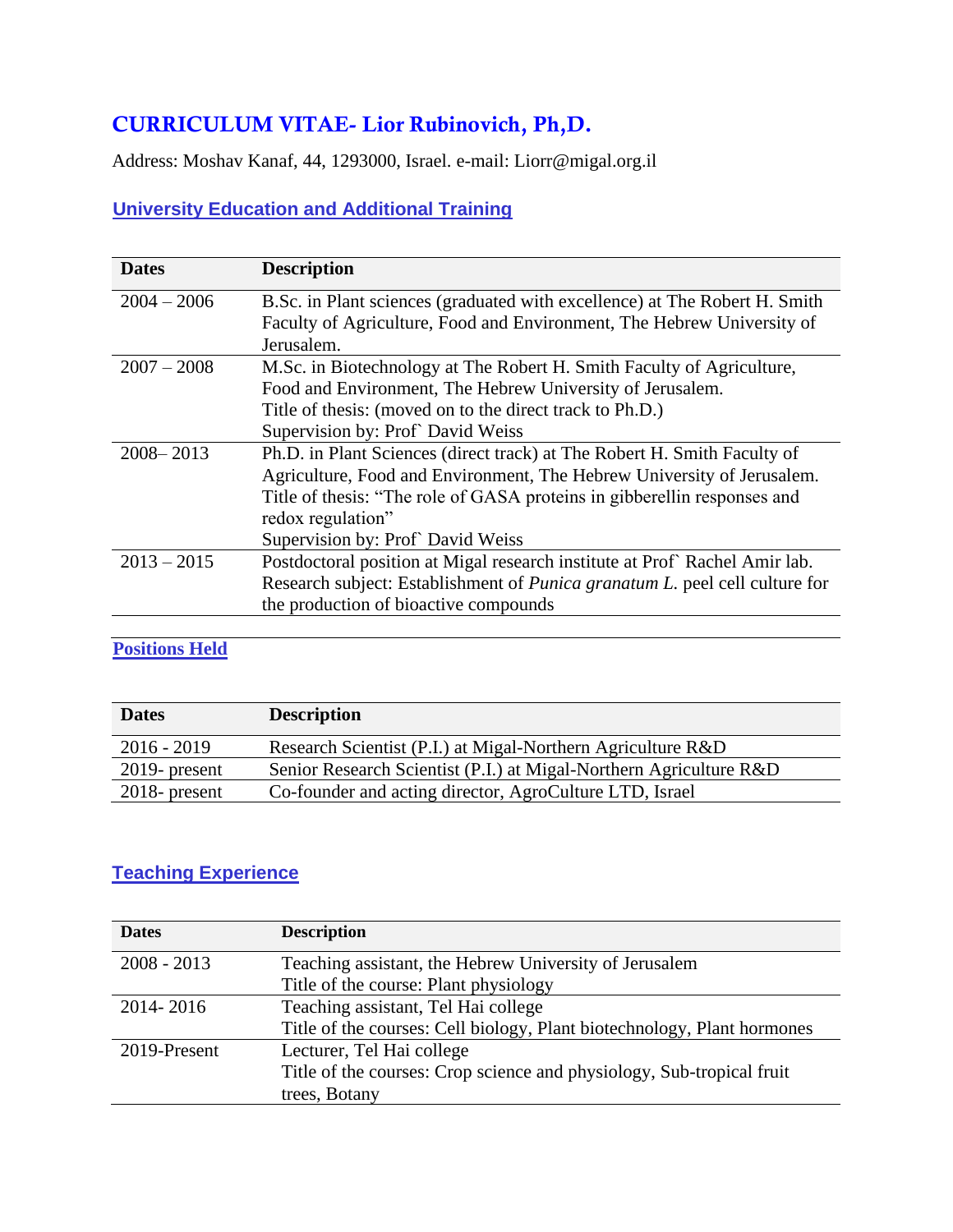# **CURRICULUM VITAE- Lior Rubinovich, Ph,D.**

Address: Moshav Kanaf, 44, 1293000, Israel. e-mail: Liorr@migal.org.il

# **University Education and Additional Training**

| <b>Dates</b>  | <b>Description</b>                                                                  |
|---------------|-------------------------------------------------------------------------------------|
| $2004 - 2006$ | B.Sc. in Plant sciences (graduated with excellence) at The Robert H. Smith          |
|               | Faculty of Agriculture, Food and Environment, The Hebrew University of              |
|               | Jerusalem.                                                                          |
| $2007 - 2008$ | M.Sc. in Biotechnology at The Robert H. Smith Faculty of Agriculture,               |
|               | Food and Environment, The Hebrew University of Jerusalem.                           |
|               | Title of thesis: (moved on to the direct track to Ph.D.)                            |
|               | Supervision by: Prof` David Weiss                                                   |
| $2008 - 2013$ | Ph.D. in Plant Sciences (direct track) at The Robert H. Smith Faculty of            |
|               | Agriculture, Food and Environment, The Hebrew University of Jerusalem.              |
|               | Title of thesis: "The role of GASA proteins in gibberellin responses and            |
|               | redox regulation"                                                                   |
|               | Supervision by: Prof` David Weiss                                                   |
| $2013 - 2015$ | Postdoctoral position at Migal research institute at Prof Rachel Amir lab.          |
|               | Research subject: Establishment of <i>Punica granatum L</i> . peel cell culture for |
|               | the production of bioactive compounds                                               |
|               |                                                                                     |

## **Positions Held**

| <b>Dates</b>     | <b>Description</b>                                                 |
|------------------|--------------------------------------------------------------------|
| $2016 - 2019$    | Research Scientist (P.I.) at Migal-Northern Agriculture R&D        |
| $2019$ - present | Senior Research Scientist (P.I.) at Migal-Northern Agriculture R&D |
| $2018$ - present | Co-founder and acting director, AgroCulture LTD, Israel            |

### **Teaching Experience**

| <b>Dates</b>  | <b>Description</b>                                                      |
|---------------|-------------------------------------------------------------------------|
| $2008 - 2013$ | Teaching assistant, the Hebrew University of Jerusalem                  |
|               | Title of the course: Plant physiology                                   |
| 2014-2016     | Teaching assistant, Tel Hai college                                     |
|               | Title of the courses: Cell biology, Plant biotechnology, Plant hormones |
| 2019-Present  | Lecturer, Tel Hai college                                               |
|               | Title of the courses: Crop science and physiology, Sub-tropical fruit   |
|               | trees, Botany                                                           |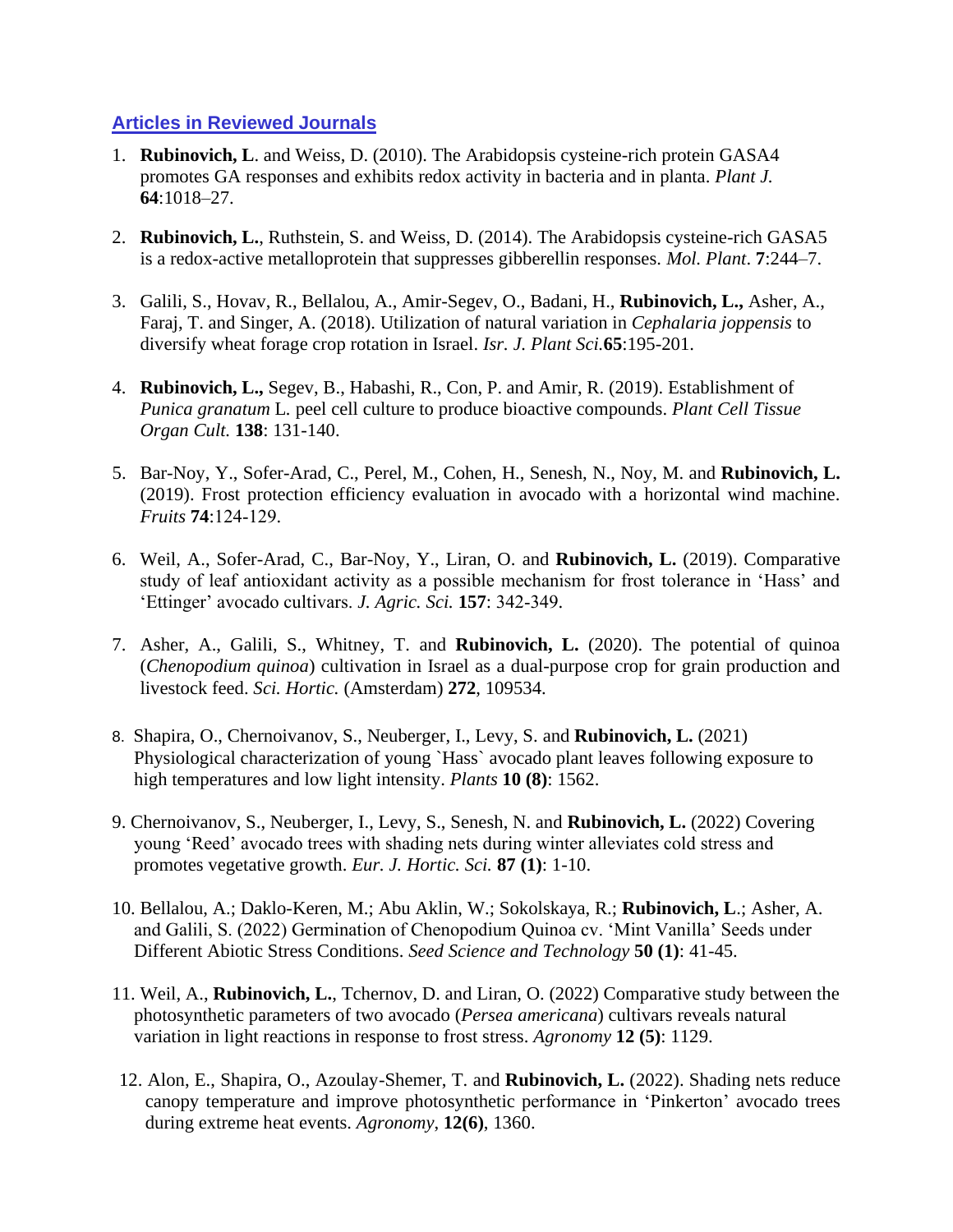#### **Articles in Reviewed Journals**

- 1. **Rubinovich, L**. and Weiss, D. (2010). The Arabidopsis cysteine-rich protein GASA4 promotes GA responses and exhibits redox activity in bacteria and in planta. *Plant J.* **64**:1018–27.
- 2. **Rubinovich, L.**, Ruthstein, S. and Weiss, D. (2014). The Arabidopsis cysteine-rich GASA5 is a redox-active metalloprotein that suppresses gibberellin responses. *Mol. Plant*. **7**:244–7.
- 3. Galili, S., Hovav, R., Bellalou, A., Amir-Segev, O., Badani, H., **Rubinovich, L.,** Asher, A., Faraj, T. and Singer, A. (2018). Utilization of natural variation in *Cephalaria joppensis* to diversify wheat forage crop rotation in Israel. *Isr. J. Plant Sci.***65**:195-201.
- 4. **Rubinovich, L.,** Segev, B., Habashi, R., Con, P. and Amir, R. (2019). Establishment of *Punica granatum* L*.* peel cell culture to produce bioactive compounds. *Plant Cell Tissue Organ Cult.* **138**: 131-140.
- 5. Bar-Noy, Y., Sofer-Arad, C., Perel, M., Cohen, H., Senesh, N., Noy, M. and **Rubinovich, L.** (2019). Frost protection efficiency evaluation in avocado with a horizontal wind machine. *Fruits* **74**:124-129.
- 6. Weil, A., Sofer-Arad, C., Bar-Noy, Y., Liran, O. and **Rubinovich, L.** (2019). Comparative study of leaf antioxidant activity as a possible mechanism for frost tolerance in 'Hass' and 'Ettinger' avocado cultivars. *J. Agric. Sci.* **157**: 342-349.
- 7. Asher, A., Galili, S., Whitney, T. and **Rubinovich, L.** (2020). The potential of quinoa (*Chenopodium quinoa*) cultivation in Israel as a dual-purpose crop for grain production and livestock feed. *Sci. Hortic.* (Amsterdam) **272**, 109534.
- 8. Shapira, O., Chernoivanov, S., Neuberger, I., Levy, S. and **Rubinovich, L.** (2021) Physiological characterization of young `Hass` avocado plant leaves following exposure to high temperatures and low light intensity. *Plants* **10 (8)**: 1562.
- 9. Chernoivanov, S., Neuberger, I., Levy, S., Senesh, N. and **Rubinovich, L.** (2022) Covering young 'Reed' avocado trees with shading nets during winter alleviates cold stress and promotes vegetative growth. *Eur. J. Hortic. Sci.* **87 (1)**: 1-10.
- 10. Bellalou, A.; Daklo-Keren, M.; Abu Aklin, W.; Sokolskaya, R.; **Rubinovich, L**.; Asher, A. and Galili, S. (2022) Germination of Chenopodium Quinoa cv. 'Mint Vanilla' Seeds under Different Abiotic Stress Conditions. *Seed Science and Technology* **50 (1)**: 41-45.
- 11. Weil, A., **Rubinovich, L.**, Tchernov, D. and Liran, O. (2022) Comparative study between the photosynthetic parameters of two avocado (*Persea americana*) cultivars reveals natural variation in light reactions in response to frost stress. *Agronomy* **12 (5)**: 1129.
- 12. Alon, E., Shapira, O., Azoulay-Shemer, T. and **Rubinovich, L.** (2022). Shading nets reduce canopy temperature and improve photosynthetic performance in 'Pinkerton' avocado trees during extreme heat events. *Agronomy*, **12(6)**, 1360.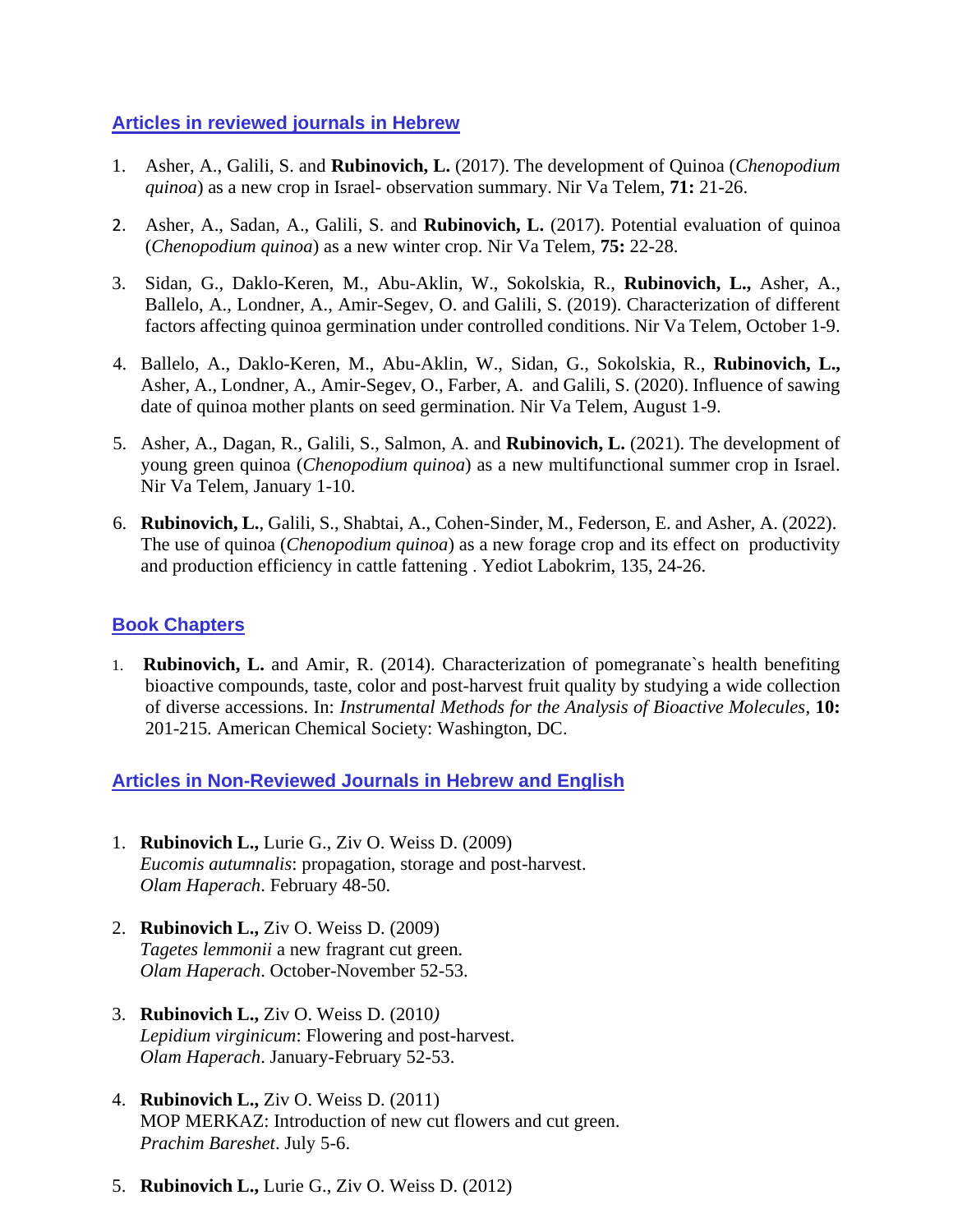#### **Articles in reviewed journals in Hebrew**

- 1. Asher, A., Galili, S. and **Rubinovich, L.** (2017). The development of Quinoa (*Chenopodium quinoa*) as a new crop in Israel- observation summary. Nir Va Telem, **71:** 21-26.
- 2. Asher, A., Sadan, A., Galili, S. and **Rubinovich, L.** (2017). Potential evaluation of quinoa (*Chenopodium quinoa*) as a new winter crop. Nir Va Telem, **75:** 22-28.
- 3. Sidan, G., Daklo-Keren, M., Abu-Aklin, W., Sokolskia, R., **Rubinovich, L.,** Asher, A., Ballelo, A., Londner, A., Amir-Segev, O. and Galili, S. (2019). Characterization of different factors affecting quinoa germination under controlled conditions. Nir Va Telem, October 1-9.
- 4. Ballelo, A., Daklo-Keren, M., Abu-Aklin, W., Sidan, G., Sokolskia, R., **Rubinovich, L.,** Asher, A., Londner, A., Amir-Segev, O., Farber, A. and Galili, S. (2020). Influence of sawing date of quinoa mother plants on seed germination. Nir Va Telem, August 1-9.
- 5. Asher, A., Dagan, R., Galili, S., Salmon, A. and **Rubinovich, L.** (2021). The development of young green quinoa (*Chenopodium quinoa*) as a new multifunctional summer crop in Israel. Nir Va Telem, January 1-10.
- 6. **Rubinovich, L.**, Galili, S., Shabtai, A., Cohen-Sinder, M., Federson, E. and Asher, A. (2022). The use of quinoa (*Chenopodium quinoa*) as a new forage crop and its effect on productivity and production efficiency in cattle fattening . Yediot Labokrim, 135, 24-26.

#### **Book Chapters**

1. **Rubinovich, L.** and Amir, R. (2014). Characterization of pomegranate`s health benefiting bioactive compounds, taste, color and post-harvest fruit quality by studying a wide collection of diverse accessions. In: *Instrumental Methods for the Analysis of Bioactive Molecules,* **10:** 201-215*.* American Chemical Society: Washington, DC.

### **Articles in Non-Reviewed Journals in Hebrew and English**

- 1. **Rubinovich L.,** Lurie G., Ziv O. Weiss D. (2009) *Eucomis autumnalis*: propagation, storage and post-harvest. *Olam Haperach*. February 48-50.
- 2. **Rubinovich L.,** Ziv O. Weiss D. (2009) *Tagetes lemmonii* a new fragrant cut green. *Olam Haperach*. October-November 52-53.
- 3. **Rubinovich L.,** Ziv O. Weiss D. (2010*) Lepidium virginicum*: Flowering and post-harvest. *Olam Haperach*. January-February 52-53.
- 4. **Rubinovich L.,** Ziv O. Weiss D. (2011) MOP MERKAZ: Introduction of new cut flowers and cut green. *Prachim Bareshet*. July 5-6.
- 5. **Rubinovich L.,** Lurie G., Ziv O. Weiss D. (2012)